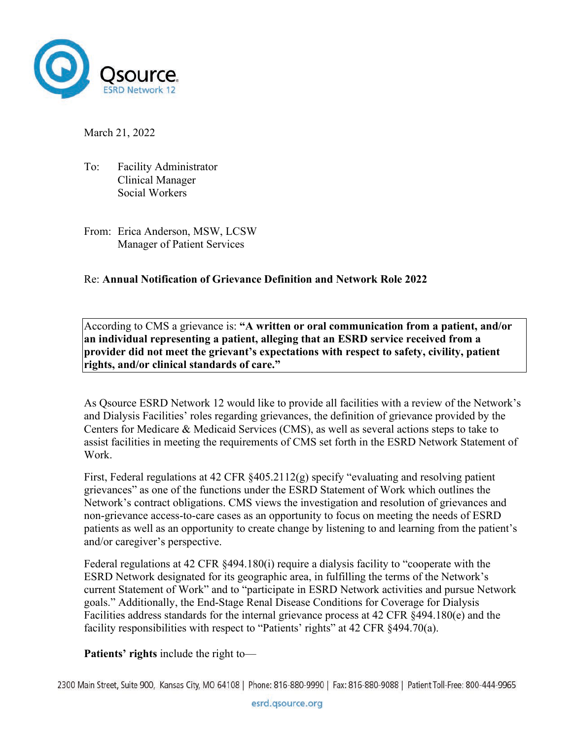

March 21, 2022

- To: Facility Administrator Clinical Manager Social Workers
- From: Erica Anderson, MSW, LCSW Manager of Patient Services

## Re: **Annual Notification of Grievance Definition and Network Role 2022**

According to CMS a grievance is: **"A written or oral communication from a patient, and/or an individual representing a patient, alleging that an ESRD service received from a provider did not meet the grievant's expectations with respect to safety, civility, patient rights, and/or clinical standards of care."**

As Qsource ESRD Network 12 would like to provide all facilities with a review of the Network's and Dialysis Facilities' roles regarding grievances, the definition of grievance provided by the Centers for Medicare & Medicaid Services (CMS), as well as several actions steps to take to assist facilities in meeting the requirements of CMS set forth in the ESRD Network Statement of Work.

First, Federal regulations at 42 CFR §405.2112(g) specify "evaluating and resolving patient grievances" as one of the functions under the ESRD Statement of Work which outlines the Network's contract obligations. CMS views the investigation and resolution of grievances and non-grievance access-to-care cases as an opportunity to focus on meeting the needs of ESRD patients as well as an opportunity to create change by listening to and learning from the patient's and/or caregiver's perspective.

Federal regulations at 42 CFR §494.180(i) require a dialysis facility to "cooperate with the ESRD Network designated for its geographic area, in fulfilling the terms of the Network's current Statement of Work" and to "participate in ESRD Network activities and pursue Network goals." Additionally, the End-Stage Renal Disease Conditions for Coverage for Dialysis Facilities address standards for the internal grievance process at 42 CFR §494.180(e) and the facility responsibilities with respect to "Patients' rights" at 42 CFR §494.70(a).

**Patients' rights** include the right to—

2300 Main Street, Suite 900, Kansas City, MO 64108 | Phone: 816-880-9990 | Fax: 816-880-9088 | Patient Toll-Free: 800-444-9965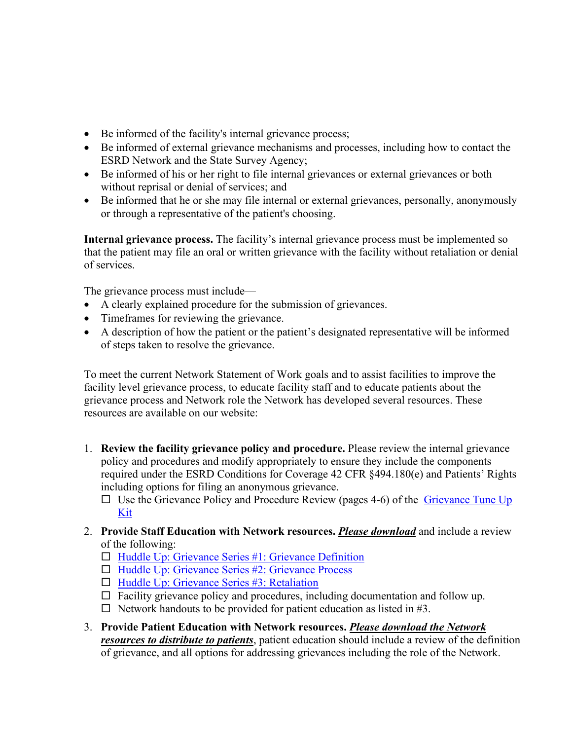- Be informed of the facility's internal grievance process;
- Be informed of external grievance mechanisms and processes, including how to contact the ESRD Network and the State Survey Agency;
- Be informed of his or her right to file internal grievances or external grievances or both without reprisal or denial of services; and
- Be informed that he or she may file internal or external grievances, personally, anonymously or through a representative of the patient's choosing.

**Internal grievance process.** The facility's internal grievance process must be implemented so that the patient may file an oral or written grievance with the facility without retaliation or denial of services.

The grievance process must include—

- A clearly explained procedure for the submission of grievances.
- Timeframes for reviewing the grievance.
- A description of how the patient or the patient's designated representative will be informed of steps taken to resolve the grievance.

To meet the current Network Statement of Work goals and to assist facilities to improve the facility level grievance process, to educate facility staff and to educate patients about the grievance process and Network role the Network has developed several resources. These resources are available on our website:

- 1. **Review the facility grievance policy and procedure.** Please review the internal grievance policy and procedures and modify appropriately to ensure they include the components required under the ESRD Conditions for Coverage 42 CFR §494.180(e) and Patients' Rights including options for filing an anonymous grievance.
	- $\Box$  Use the Grievance Policy and Procedure Review (pages 4-6) of the Grievance Tune Up [Kit](https://esrd.qsource.org/wp-content/uploads/2022/03/Grievance-Tune-Up-Toolkit_508.pdf)
- 2. **Provide Staff Education with Network resources.** *Please download* and include a review of the following:
	- $\Box$  Huddle Up: Grievance Series #1: Grievance Definition
	- $\Box$  Huddle Up: Grievance Series #2: Grievance Process
	- □ [Huddle Up: Grievance Series #3: Retaliation](https://resourcehub.exchange/download/heartland-huddle-grievance-retaliation/?wpdmdl=4640&refresh=61f845b6d2c6f1643660726)
	- $\Box$  Facility grievance policy and procedures, including documentation and follow up.
	- $\Box$  Network handouts to be provided for patient education as listed in #3.
- 3. **Provide Patient Education with Network resources.** *Please download the Network resources to distribute to patients*, patient education should include a review of the definition of grievance, and all options for addressing grievances including the role of the Network.